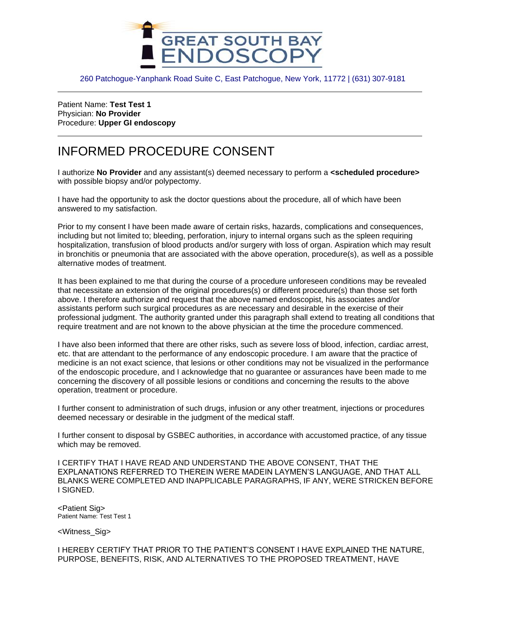

260 Patchogue-Yanphank Road Suite C, East Patchogue, New York, 11772 | (631) 307-9181

Patient Name: **Test Test 1** Physician: **No Provider** Procedure: **Upper GI endoscopy**

## INFORMED PROCEDURE CONSENT

I authorize **No Provider** and any assistant(s) deemed necessary to perform a **<scheduled procedure>**  with possible biopsy and/or polypectomy.

I have had the opportunity to ask the doctor questions about the procedure, all of which have been answered to my satisfaction.

Prior to my consent I have been made aware of certain risks, hazards, complications and consequences, including but not limited to; bleeding, perforation, injury to internal organs such as the spleen requiring hospitalization, transfusion of blood products and/or surgery with loss of organ. Aspiration which may result in bronchitis or pneumonia that are associated with the above operation, procedure(s), as well as a possible alternative modes of treatment.

It has been explained to me that during the course of a procedure unforeseen conditions may be revealed that necessitate an extension of the original procedures(s) or different procedure(s) than those set forth above. I therefore authorize and request that the above named endoscopist, his associates and/or assistants perform such surgical procedures as are necessary and desirable in the exercise of their professional judgment. The authority granted under this paragraph shall extend to treating all conditions that require treatment and are not known to the above physician at the time the procedure commenced.

I have also been informed that there are other risks, such as severe loss of blood, infection, cardiac arrest, etc. that are attendant to the performance of any endoscopic procedure. I am aware that the practice of medicine is an not exact science, that lesions or other conditions may not be visualized in the performance of the endoscopic procedure, and I acknowledge that no guarantee or assurances have been made to me concerning the discovery of all possible lesions or conditions and concerning the results to the above operation, treatment or procedure.

I further consent to administration of such drugs, infusion or any other treatment, injections or procedures deemed necessary or desirable in the judgment of the medical staff.

I further consent to disposal by GSBEC authorities, in accordance with accustomed practice, of any tissue which may be removed.

I CERTIFY THAT I HAVE READ AND UNDERSTAND THE ABOVE CONSENT, THAT THE EXPLANATIONS REFERRED TO THEREIN WERE MADEIN LAYMEN'S LANGUAGE, AND THAT ALL BLANKS WERE COMPLETED AND INAPPLICABLE PARAGRAPHS, IF ANY, WERE STRICKEN BEFORE I SIGNED.

<Patient Sig> Patient Name: Test Test 1

<Witness\_Sig>

I HEREBY CERTIFY THAT PRIOR TO THE PATIENT'S CONSENT I HAVE EXPLAINED THE NATURE, PURPOSE, BENEFITS, RISK, AND ALTERNATIVES TO THE PROPOSED TREATMENT, HAVE